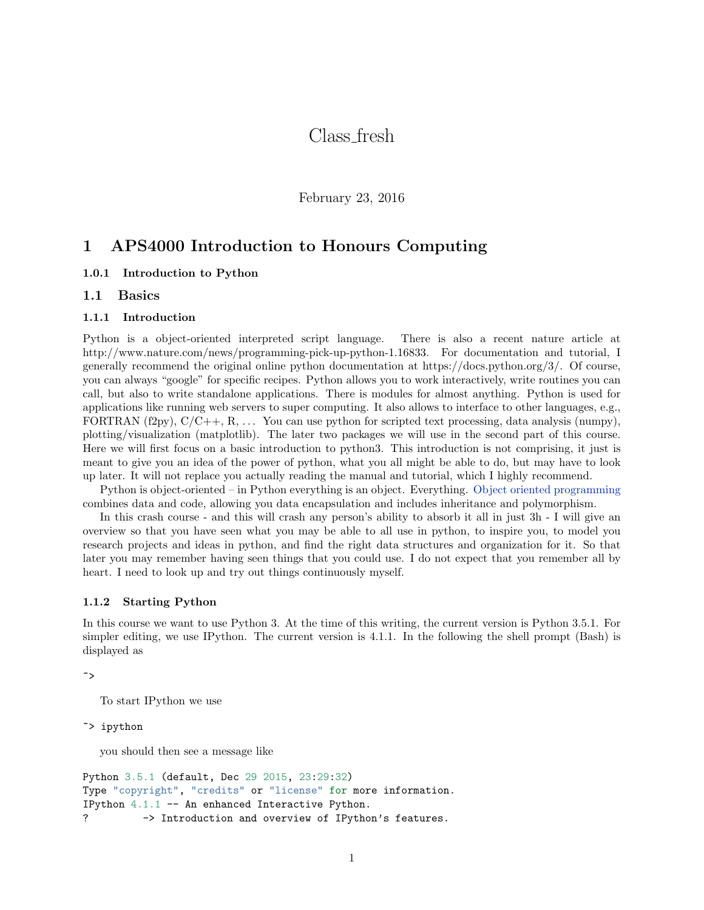# Class fresh

February 23, 2016

## 1 APS4000 Introduction to Honours Computing

## 1.0.1 Introduction to Python

## 1.1 Basics

#### 1.1.1 Introduction

Python is a object-oriented interpreted script language. There is also a recent nature article at http://www.nature.com/news/programming-pick-up-python-1.16833. For documentation and tutorial, I generally recommend the original online python documentation at https://docs.python.org/3/. Of course, you can always "google" for specific recipes. Python allows you to work interactively, write routines you can call, but also to write standalone applications. There is modules for almost anything. Python is used for applications like running web servers to super computing. It also allows to interface to other languages, e.g., FORTRAN  $(f2py)$ ,  $C/C++$ , R, ... You can use python for scripted text processing, data analysis (numpy), plotting/visualization (matplotlib). The later two packages we will use in the second part of this course. Here we will first focus on a basic introduction to python3. This introduction is not comprising, it just is meant to give you an idea of the power of python, what you all might be able to do, but may have to look up later. It will not replace you actually reading the manual and tutorial, which I highly recommend.

Python is object-oriented – in Python everything is an object. Everything. [Object oriented programming](http://en.wikipedia.org/wiki/Object-oriented_programming) combines data and code, allowing you data encapsulation and includes inheritance and polymorphism.

In this crash course - and this will crash any person's ability to absorb it all in just 3h - I will give an overview so that you have seen what you may be able to all use in python, to inspire you, to model you research projects and ideas in python, and find the right data structures and organization for it. So that later you may remember having seen things that you could use. I do not expect that you remember all by heart. I need to look up and try out things continuously myself.

#### 1.1.2 Starting Python

In this course we want to use Python 3. At the time of this writing, the current version is Python 3.5.1. For simpler editing, we use IPython. The current version is 4.1.1. In the following the shell prompt (Bash) is displayed as

```
~>
```
To start IPython we use

~> ipython

you should then see a message like

```
Python 3.5.1 (default, Dec 29 2015, 23:29:32)
Type "copyright", "credits" or "license" for more information.
IPython 4.1.1 -- An enhanced Interactive Python.
? -> Introduction and overview of IPython's features.
```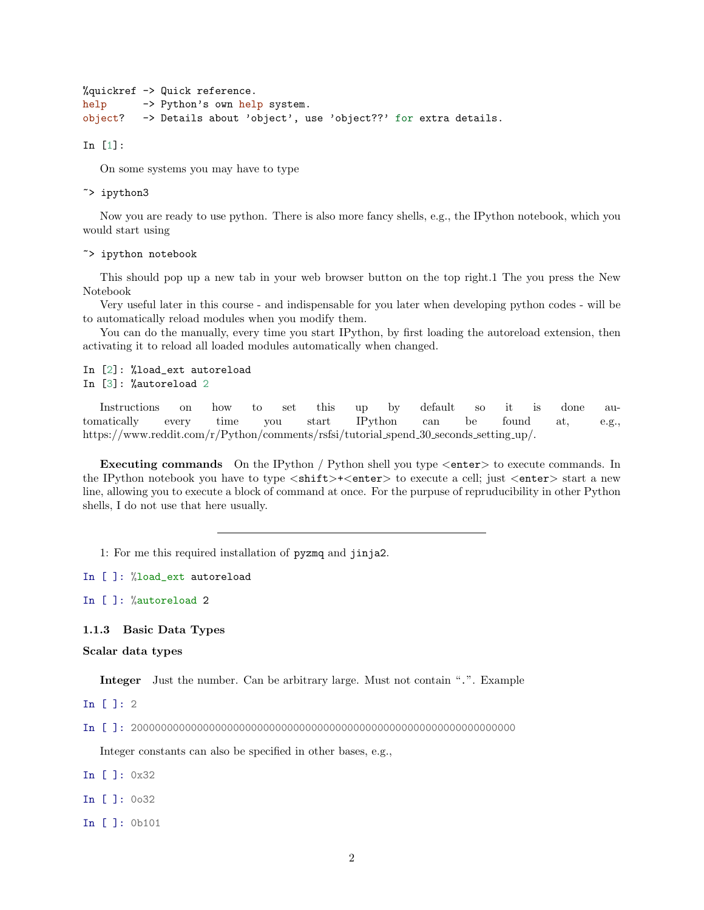```
%quickref -> Quick reference.
help -> Python's own help system.
object? -> Details about 'object', use 'object??' for extra details.
```
In [1]:

On some systems you may have to type

~> ipython3

Now you are ready to use python. There is also more fancy shells, e.g., the IPython notebook, which you would start using

~> ipython notebook

This should pop up a new tab in your web browser button on the top right.1 The you press the New Notebook

Very useful later in this course - and indispensable for you later when developing python codes - will be to automatically reload modules when you modify them.

You can do the manually, every time you start IPython, by first loading the autoreload extension, then activating it to reload all loaded modules automatically when changed.

In [2]: %load\_ext autoreload In [3]: %autoreload 2

Instructions on how to set this up by default so it is done automatically every time you start IPython can be found at, e.g., https://www.reddit.com/r/Python/comments/rsfsi/tutorial spend 30 seconds setting up/.

Executing commands On the IPython / Python shell you type <enter> to execute commands. In the IPython notebook you have to type  $\langle \text{shift}\rangle+\langle \text{enter}\rangle$  to execute a cell; just  $\langle \text{enter}\rangle$  start a new line, allowing you to execute a block of command at once. For the purpuse of repruducibility in other Python shells, I do not use that here usually.

1: For me this required installation of pyzmq and jinja2.

In [ ]: %load\_ext autoreload

In [ ]: %autoreload 2

1.1.3 Basic Data Types

Scalar data types

Integer Just the number. Can be arbitrary large. Must not contain ".". Example

In [ ]: 2

In [ ]: 2000000000000000000000000000000000000000000000000000000000000000

Integer constants can also be specified in other bases, e.g.,

- In [ ]: 0x32
- In [ ]: 0o32
- In [ ]: 0b101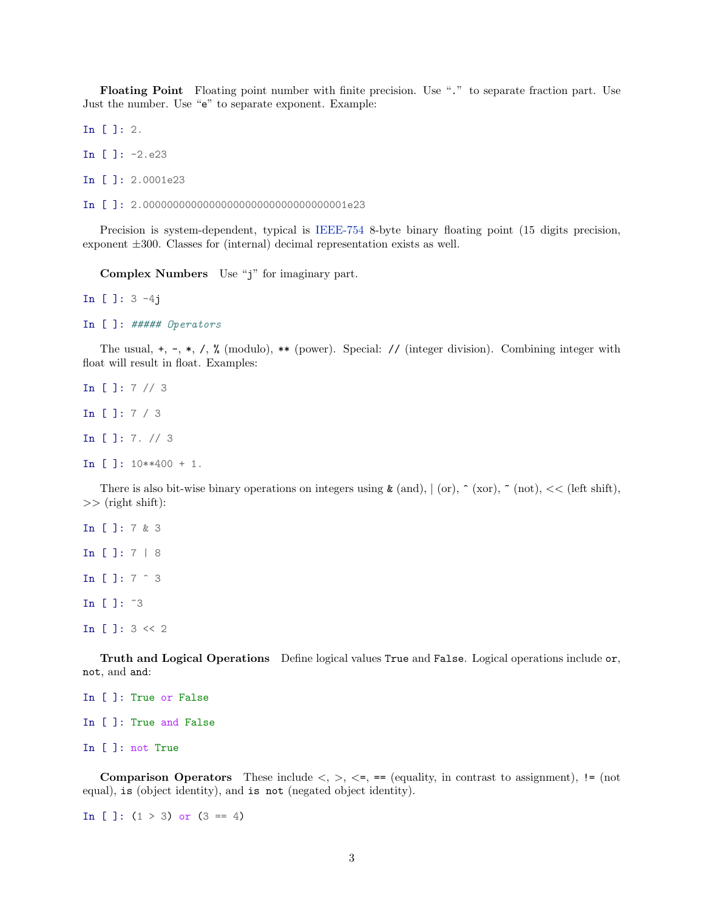Floating Point Floating point number with finite precision. Use "." to separate fraction part. Use Just the number. Use "e" to separate exponent. Example:

In [ ]: 2.

In [ ]: -2.e23

In [ ]: 2.0001e23

In [ ]: 2.0000000000000000000000000000000001e23

Precision is system-dependent, typical is [IEEE-754](http://en.wikipedia.org/wiki/IEEE_floating_point) 8-byte binary floating point (15 digits precision, exponent ±300. Classes for (internal) decimal representation exists as well.

Complex Numbers Use "j" for imaginary part.

In [ ]: 3 -4j

```
In [ ]: ##### Operators
```
The usual,  $+$ ,  $-$ ,  $*$ ,  $/$ ,  $\%$  (modulo),  $**$  (power). Special: // (integer division). Combining integer with float will result in float. Examples:

```
In [ ]: 7 // 3
In [ ]: 7 / 3
In [ ]: 7. // 3
In [ ]: 10**400 + 1.
```
There is also bit-wise binary operations on integers using  $\&$  (and),  $|$  (or),  $\hat{ }$  (xor),  $\check{ }$  (not),  $\langle$  (left shift),  $\gg$  (right shift):

In [ ]: 7 & 3 In [ ]: 7 | 8 In [ ]: 7 ^ 3 In [ ]: ~3 In [ ]: 3 << 2

Truth and Logical Operations Define logical values True and False. Logical operations include or, not, and and:

```
In [ ]: True or False
In [ ]: True and False
In [ ]: not True
```
**Comparison Operators** These include  $\langle \rangle, \rangle, \langle \rangle =$ , == (equality, in contrast to assignment), != (not equal), is (object identity), and is not (negated object identity).

In [ ]:  $(1 > 3)$  or  $(3 == 4)$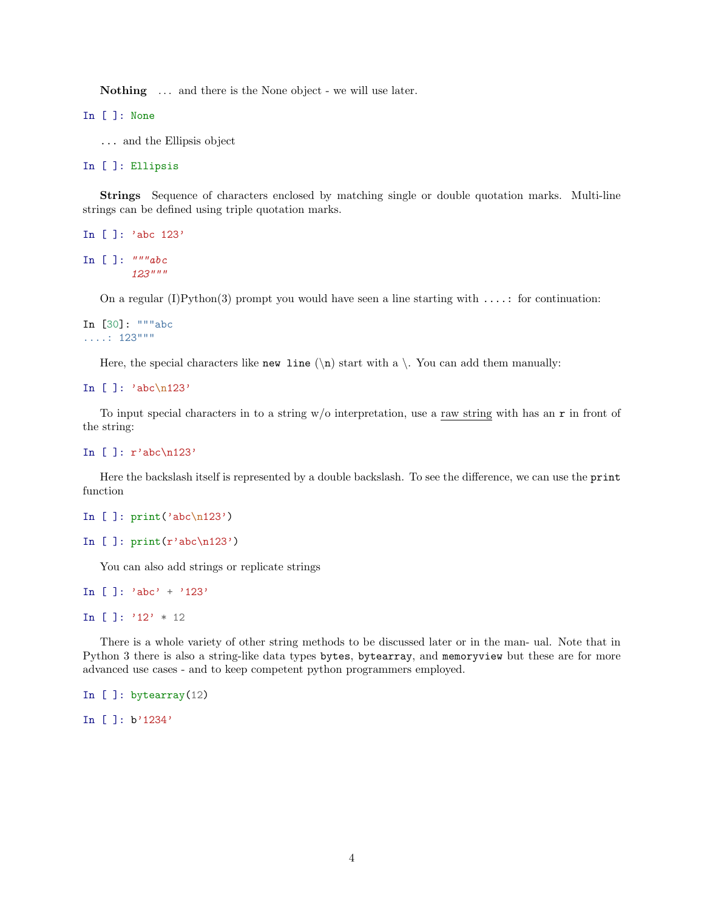Nothing ... and there is the None object - we will use later.

In [ ]: None

... and the Ellipsis object

In [ ]: Ellipsis

Strings Sequence of characters enclosed by matching single or double quotation marks. Multi-line strings can be defined using triple quotation marks.

```
In [ ]: 'abc 123'
In [ ]: """"abc123"""
```
On a regular (I)Python(3) prompt you would have seen a line starting with  $\dots$ : for continuation:

```
In [30]: """abc
\ldots: 123"""
```
Here, the special characters like new line  $(\n)$  start with a  $\cdot$ . You can add them manually:

```
In [ ]: 'abc\n123'
```
To input special characters in to a string  $w/o$  interpretation, use a raw string with has an  $r$  in front of the string:

```
In [ ]: r'abc\n123'
```
Here the backslash itself is represented by a double backslash. To see the difference, we can use the print function

```
In [ ]: print('abc\n123')
```

```
In [ ]: print(r'abc\n/123')
```
You can also add strings or replicate strings

```
In [ ]: 'abc' + '123'
```

```
In [ ]: '12' * 12
```
There is a whole variety of other string methods to be discussed later or in the man- ual. Note that in Python 3 there is also a string-like data types bytes, bytearray, and memoryview but these are for more advanced use cases - and to keep competent python programmers employed.

```
In [ ]: bytearray(12)
```
In [ ]: b'1234'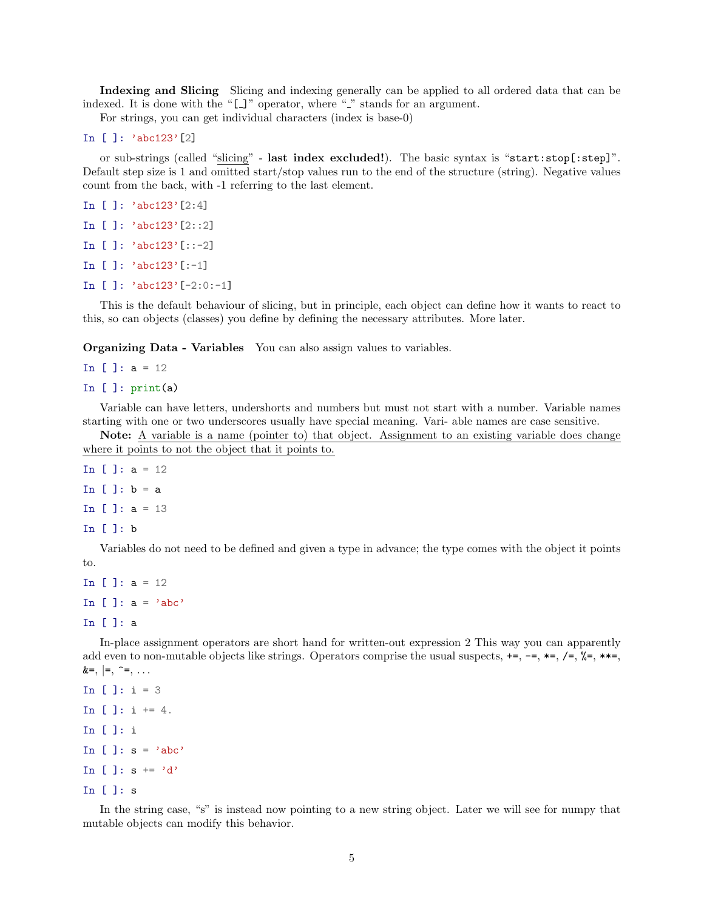Indexing and Slicing Slicing and indexing generally can be applied to all ordered data that can be indexed. It is done with the " $[$ ]" operator, where " $\cdot$ " stands for an argument.

For strings, you can get individual characters (index is base-0)

```
In [ ]: 'abc123'[2]
```
or sub-strings (called "slicing" - last index excluded!). The basic syntax is "start:stop[:step]". Default step size is 1 and omitted start/stop values run to the end of the structure (string). Negative values count from the back, with -1 referring to the last element.

```
In [ ]: 'abc123'[2:4]
In [ ]: 'abc123'[2::2]
```
- In [ ]: 'abc123'[::-2]
- In [ ]: 'abc123'[:-1]
- In [ ]: 'abc123'[-2:0:-1]

This is the default behaviour of slicing, but in principle, each object can define how it wants to react to this, so can objects (classes) you define by defining the necessary attributes. More later.

Organizing Data - Variables You can also assign values to variables.

In  $[ ]: a = 12$ 

In  $[]$ : print $(a)$ 

Variable can have letters, undershorts and numbers but must not start with a number. Variable names starting with one or two underscores usually have special meaning. Vari- able names are case sensitive.

Note: A variable is a name (pointer to) that object. Assignment to an existing variable does change where it points to not the object that it points to.

```
In [ ]: a = 12In []: b = aIn [ ]: a = 13In [ ]: b
```
Variables do not need to be defined and given a type in advance; the type comes with the object it points to.

```
In [ ]: a = 12In [ ]: a = 'abc'
```
In [ ]: a

In-place assignment operators are short hand for written-out expression 2 This way you can apparently add even to non-mutable objects like strings. Operators comprise the usual suspects,  $+=, -=, *=, /=, *=, *=,$  $&=, |=, \hat{=} , \dots$ 

```
In [ ]: i = 3In \lceil \cdot \rceil: i += 4.
In [ ]: i
In [ ]: s = 'abc'In [ ]: s \div = 'd'In [ ]: s
```
In the string case, "s" is instead now pointing to a new string object. Later we will see for numpy that mutable objects can modify this behavior.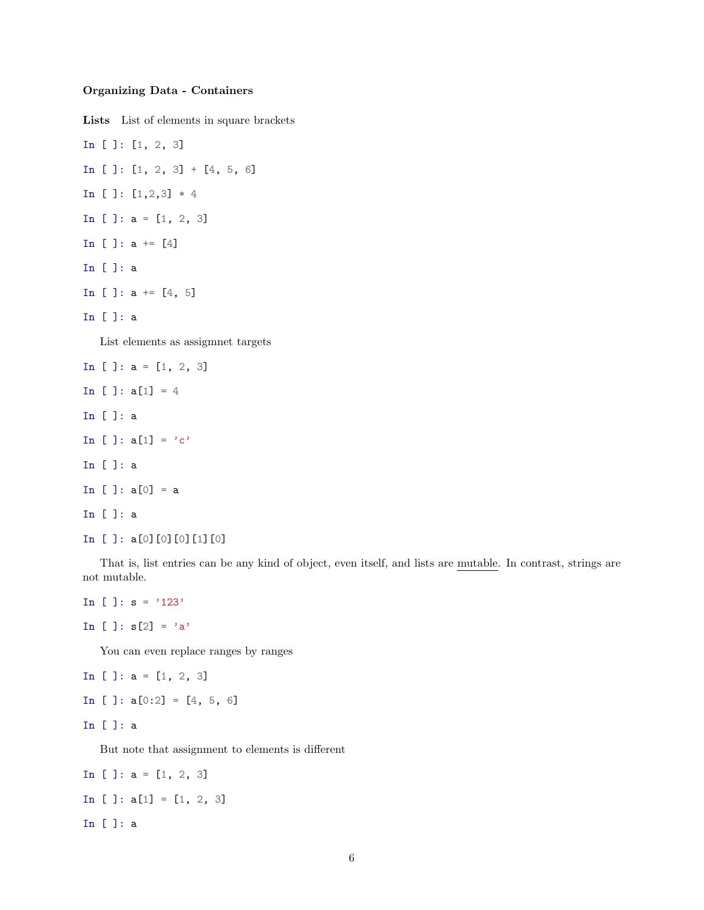#### Organizing Data - Containers

Lists List of elements in square brackets

In [ ]: [1, 2, 3] In [ ]:  $[1, 2, 3] + [4, 5, 6]$ In  $[ ]: [1,2,3] * 4$ In [ ]: a = [1, 2, 3] In [ ]:  $a == [4]$ In [ ]: a In [ ]:  $a \neq [4, 5]$ In [ ]: a List elements as assigmnet targets In  $[ ]: a = [1, 2, 3]$ In [ ]:  $a[1] = 4$ In [ ]: a In [ ]:  $a[1] = 'c'$ In [ ]: a

In [ ]:  $a[0] = a$ In [ ]: a

In [ ]: a[0][0][0][1][0]

That is, list entries can be any kind of object, even itself, and lists are mutable. In contrast, strings are not mutable.

```
In [ ]: s = '123'
```
In [ ]:  $s[2] = 'a'$ 

You can even replace ranges by ranges

```
In [ ]: a = [1, 2, 3]
In [ ]: a[0:2] = [4, 5, 6]
```

```
In [ ]: a
```
But note that assignment to elements is different

```
In [ ]: a = [1, 2, 3]
In [ ]: a[1] = [1, 2, 3]In [ ]: a
```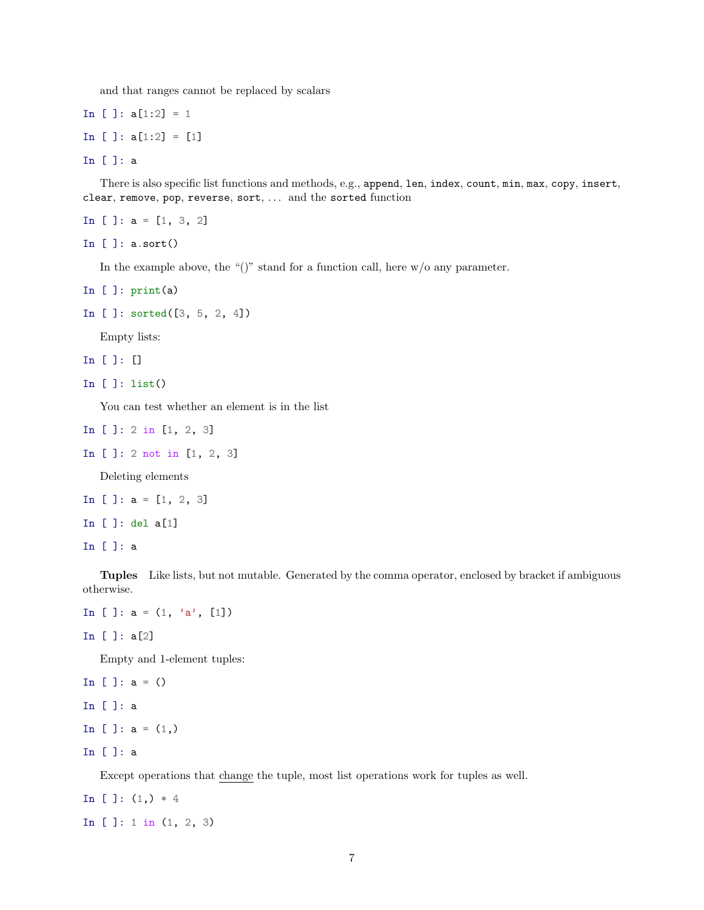and that ranges cannot be replaced by scalars

```
In [ ]: a[1:2] = 1In [ ]: a[1:2] = [1]
```
In [ ]: a

There is also specific list functions and methods, e.g., append, len, index, count, min, max, copy, insert, clear, remove, pop, reverse, sort, ... and the sorted function

In [ ]: a = [1, 3, 2]

In [ ]: a.sort()

In the example above, the " $()$ " stand for a function call, here  $w/o$  any parameter.

```
In [ ]: print(a)
```

```
In [ ]: sorted([3, 5, 2, 4])
```
Empty lists:

In [ ]: []

```
In [ ]: list()
```
You can test whether an element is in the list

- In [ ]: 2 in [1, 2, 3]
- In [ ]: 2 not in [1, 2, 3]

Deleting elements

- In  $[ ]: a = [1, 2, 3]$
- In [ ]: del a[1]

In [ ]: a

Tuples Like lists, but not mutable. Generated by the comma operator, enclosed by bracket if ambiguous otherwise.

```
In [ ]: a = (1, 'a', [1])
```
In [ ]: a[2]

Empty and 1-element tuples:

In  $[ ]: a = ()$ In [ ]: a In [ ]:  $a = (1, 0)$ In [ ]: a

Except operations that change the tuple, most list operations work for tuples as well.

In [ ]:  $(1,)*4$ In [ ]: 1 in (1, 2, 3)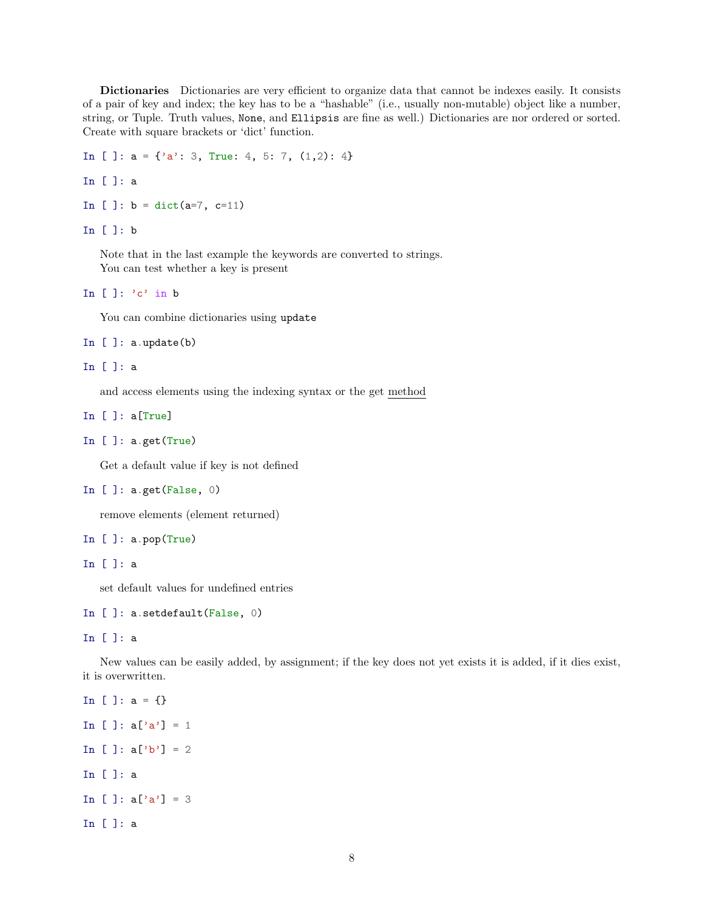Dictionaries Dictionaries are very efficient to organize data that cannot be indexes easily. It consists of a pair of key and index; the key has to be a "hashable" (i.e., usually non-mutable) object like a number, string, or Tuple. Truth values, None, and Ellipsis are fine as well.) Dictionaries are nor ordered or sorted. Create with square brackets or 'dict' function.

```
In [ ]: a = \{ 'a' : 3, True : 4, 5 : 7, (1,2) : 4 \}
```
In [ ]: a

```
In [ ]: b = \text{dict}(a=7, c=11)
```
In [ ]: b

Note that in the last example the keywords are converted to strings. You can test whether a key is present

```
In []: 'c' in b
```
You can combine dictionaries using update

```
In [ ]: a.update(b)
```
### In [ ]: a

and access elements using the indexing syntax or the get method

In [ ]: a[True]

```
In [ ]: a.get(True)
```
Get a default value if key is not defined

```
In [ ]: a.get(False, 0)
```
remove elements (element returned)

```
In [ ]: a.pop(True)
```
In [ ]: a

set default values for undefined entries

```
In [ ]: a.setdefault(False, 0)
```
In [ ]: a

New values can be easily added, by assignment; if the key does not yet exists it is added, if it dies exist, it is overwritten.

```
In [ ]: a = \{\}In [ ]: a['a'] = 1In [ ]: a['b'] = 2In [ ]: a
In [ ]: a['a'] = 3In [ ]: a
```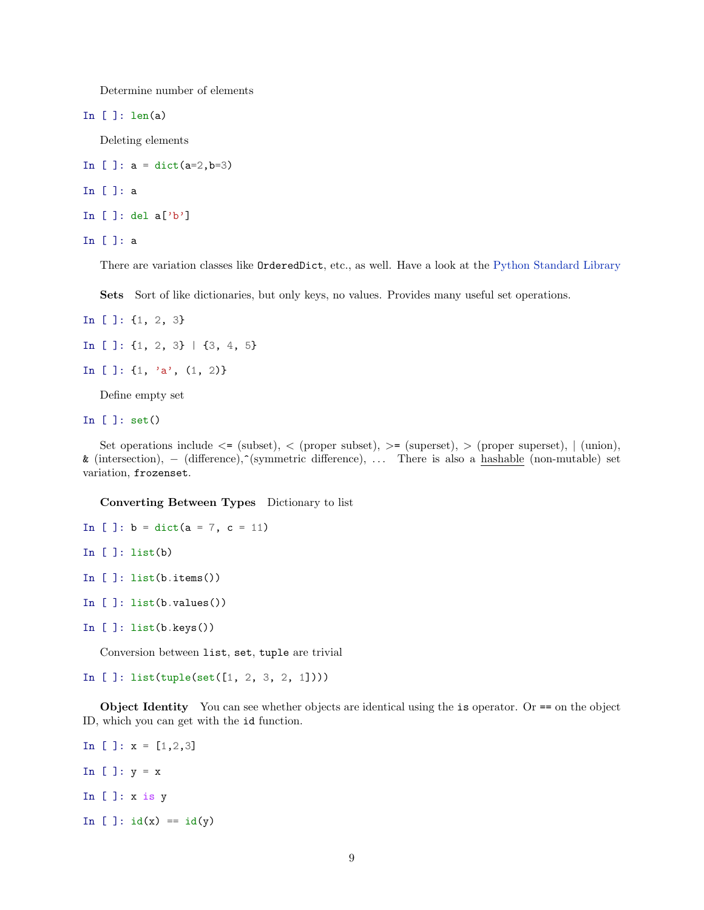Determine number of elements

In  $[]$ : len $(a)$ 

Deleting elements

In [ ]:  $a = \text{dict}(a=2, b=3)$ 

In [ ]: a

In [ ]: del  $a['b']$ 

In [ ]: a

There are variation classes like OrderedDict, etc., as well. Have a look at the [Python Standard Library](https://docs.python.org/3/library/)

Sets Sort of like dictionaries, but only keys, no values. Provides many useful set operations.

- In [ ]: {1, 2, 3}
- In [ ]:  $\{1, 2, 3\}$  |  $\{3, 4, 5\}$
- In [ ]:  $\{1, 'a', (1, 2)\}$

Define empty set

In [ ]: set()

Set operations include  $\leq$  (subset),  $\leq$  (proper subset),  $\geq$  (superset),  $\geq$  (proper superset),  $\mid$  (union), & (intersection), − (difference),^(symmetric difference), . . . There is also a hashable (non-mutable) set variation, frozenset.

Converting Between Types Dictionary to list

```
In [ ]: b = dict(a = 7, c = 11)In []: list(b)In [ ]: list(b.items())In [ ]: list(b.values())
```
In [ ]: list(b.keys())

Conversion between list, set, tuple are trivial

In [ ]: list(tuple(set([1, 2, 3, 2, 1])))

Object Identity You can see whether objects are identical using the is operator. Or == on the object ID, which you can get with the id function.

In [ ]:  $x = [1, 2, 3]$ In  $[] : y = x$ In [ ]: x is y In  $[ ]: id(x) == id(y)$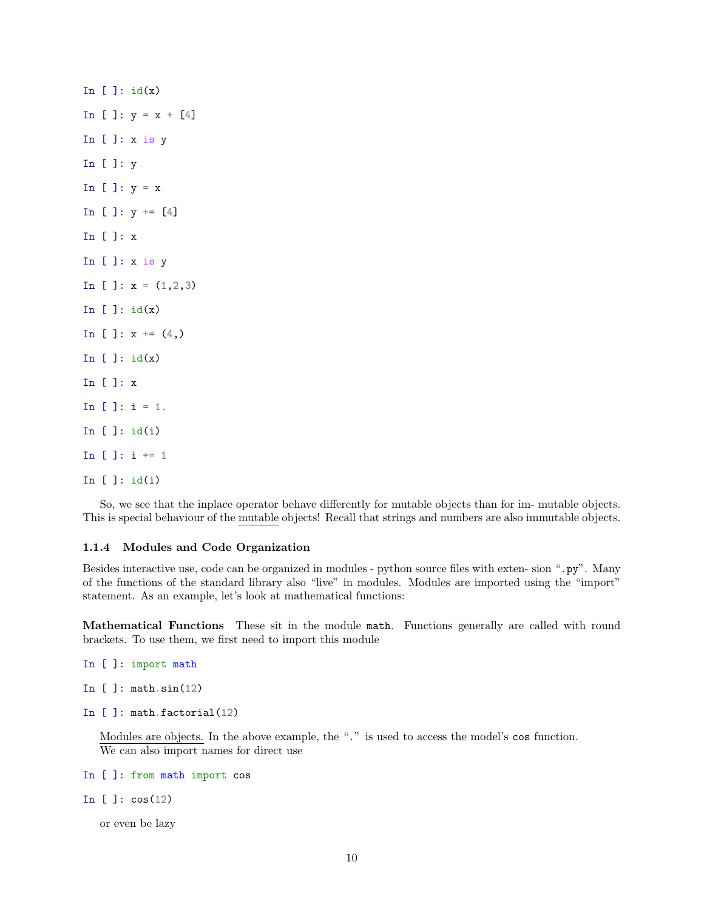In  $[]$ :  $id(x)$ In [ ]:  $y = x + [4]$ In  $[]: x is y$ In [ ]: y In  $[] : y = x$ In  $[ ]: v \rightarrow = [4]$ In [ ]: x In  $[]: x is y$ In [ ]:  $x = (1,2,3)$ In  $[]$ :  $id(x)$ In [ ]:  $x == (4,)$ In  $[]$ :  $id(x)$ In [ ]: x In  $[ ]: i = 1.$ In  $[]$ :  $id(i)$ In [ ]:  $i := 1$ In [ ]: id(i)

So, we see that the inplace operator behave differently for mutable objects than for im- mutable objects. This is special behaviour of the mutable objects! Recall that strings and numbers are also immutable objects.

## 1.1.4 Modules and Code Organization

Besides interactive use, code can be organized in modules - python source files with exten- sion ".py". Many of the functions of the standard library also "live" in modules. Modules are imported using the "import" statement. As an example, let's look at mathematical functions:

Mathematical Functions These sit in the module math. Functions generally are called with round brackets. To use them, we first need to import this module

```
In [ ]: import math
```

```
In [ ]: math.sin(12)
```

```
In [ ]: math.factorial(12)
```
Modules are objects. In the above example, the "." is used to access the model's cos function. We can also import names for direct use

In [ ]: from math import cos

In  $[ ]: cos(12)$ 

or even be lazy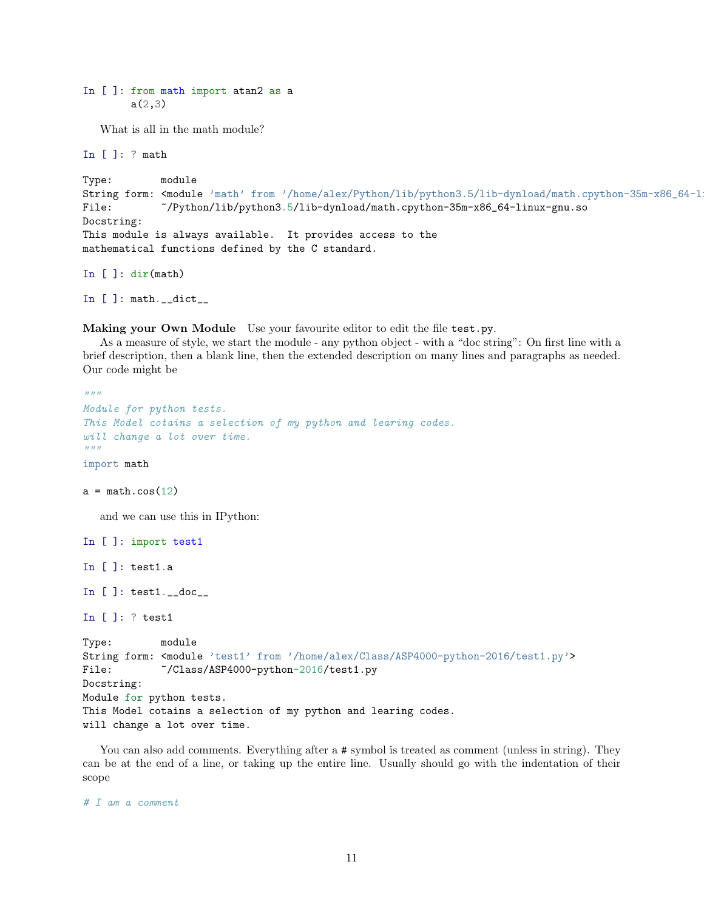```
In [ ]: from math import atan2 as a
        a(2,3)
```
What is all in the math module?

In [ ]: ? math

```
Type: module
String form: <module 'math' from '/home/alex/Python/lib/python3.5/lib-dynload/math.cpython-35m-x86_64-l
File: ~/Python/lib/python3.5/lib-dynload/math.cpython-35m-x86_64-linux-gnu.so
Docstring:
This module is always available. It provides access to the
mathematical functions defined by the C standard.
```
In [ ]: dir(math)

In  $[]$ : math.\_\_dict\_\_

Making your Own Module Use your favourite editor to edit the file test.py.

As a measure of style, we start the module - any python object - with a "doc string": On first line with a brief description, then a blank line, then the extended description on many lines and paragraphs as needed. Our code might be

```
\bar{n} \bar{n} \bar{n}Module for python tests.
This Model cotains a selection of my python and learing codes.
will change a lot over time.
"''"''"import math
a = \text{math.cos}(12)and we can use this in IPython:
In [ ]: import test1
In [ ]: test1.a
In [ ]: test1.__doc__
In [ ]: ? test1
Type: module
String form: <module 'test1' from '/home/alex/Class/ASP4000-python-2016/test1.py'>
File: \degree/Class/ASP4000-python-2016/test1.py
Docstring:
Module for python tests.
This Model cotains a selection of my python and learing codes.
will change a lot over time.
```
You can also add comments. Everything after a  $\#$  symbol is treated as comment (unless in string). They can be at the end of a line, or taking up the entire line. Usually should go with the indentation of their scope

# I am a comment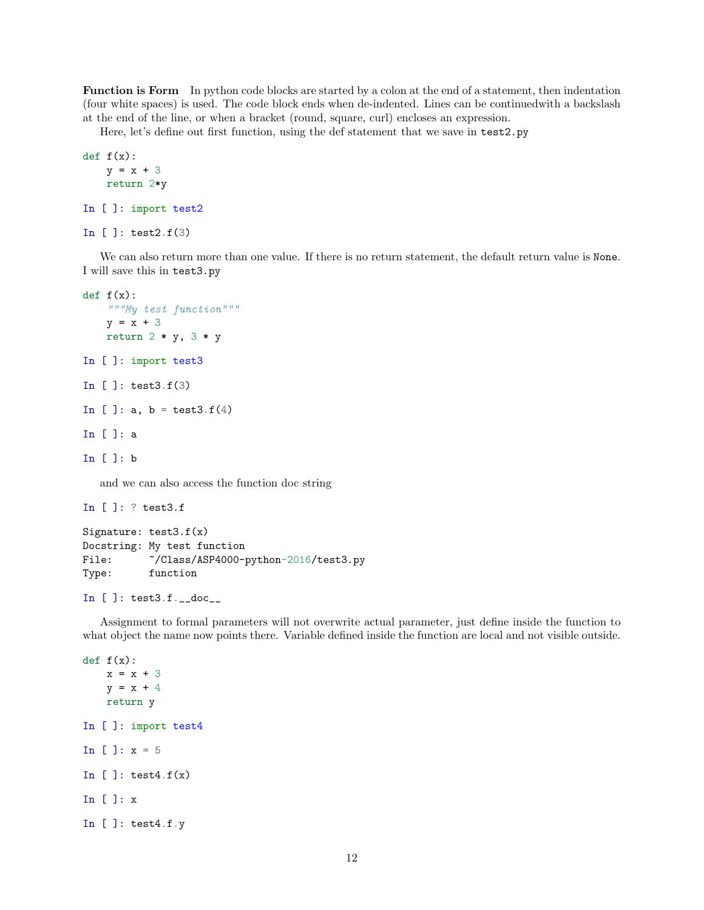Function is Form In python code blocks are started by a colon at the end of a statement, then indentation (four white spaces) is used. The code block ends when de-indented. Lines can be continuedwith a backslash at the end of the line, or when a bracket (round, square, curl) encloses an expression.

Here, let's define out first function, using the def statement that we save in test2.py

```
def f(x):y = x + 3return 2*y
In [ ]: import test2
In [ ]: test2.f(3)
```
We can also return more than one value. If there is no return statement, the default return value is None. I will save this in test3.py

```
def f(x):"""My test function"""
    y = x + 3return 2 * y, 3 * yIn [ ]: import test3
In [ ]: test3.f(3)
In [ ]: a, b = test3.f(4)In [ ]: a
In [ ]: b
  and we can also access the function doc string
```

```
In [ ]: ? test3.f
Signature: test3.f(x)
Docstring: My test function
File: \tilde{C}/\text{Class/ASP4000-python-2016/test3.py}Type: function
```

```
In [ ]: test3.f.__doc__
```
Assignment to formal parameters will not overwrite actual parameter, just define inside the function to what object the name now points there. Variable defined inside the function are local and not visible outside.

```
def f(x):x = x + 3y = x + 4return y
In [ ]: import test4
In [ ]: x = 5In []: test4.f(x)
In [ ]: x
In [ ]: test4.f.y
```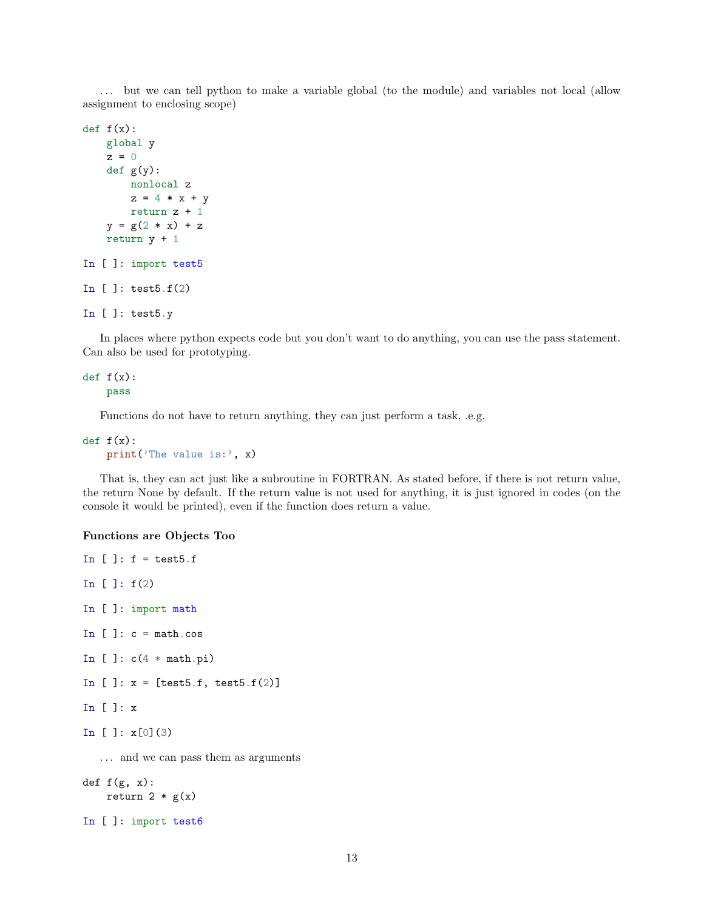. . . but we can tell python to make a variable global (to the module) and variables not local (allow assignment to enclosing scope)

```
def f(x):global y
    z = 0def g(y):
        nonlocal z
        z = 4 * x + yreturn z + 1
    y = g(2 * x) + zreturn y + 1
In [ ]: import test5
In [ ]: \text{test5.f(2)}In [ ]: test5.y
```
In places where python expects code but you don't want to do anything, you can use the pass statement. Can also be used for prototyping.

## def  $f(x)$ : pass

Functions do not have to return anything, they can just perform a task, .e.g,

```
def f(x):print('The value is:', x)
```
That is, they can act just like a subroutine in FORTRAN. As stated before, if there is not return value, the return None by default. If the return value is not used for anything, it is just ignored in codes (on the console it would be printed), even if the function does return a value.

## Functions are Objects Too

```
In []: f = \text{test5.f}In [ ]: f(2)In [ ]: import math
In []: c = \text{math.} \cosIn [ ]: c(4 * math.pi)In [ ]: x = [test5.f, test5.f(2)]In [ ]: x
In [ ]: x[0](3)
   ... and we can pass them as arguments
def f(g, x):
    return 2 * g(x)
```

```
In [ ]: import test6
```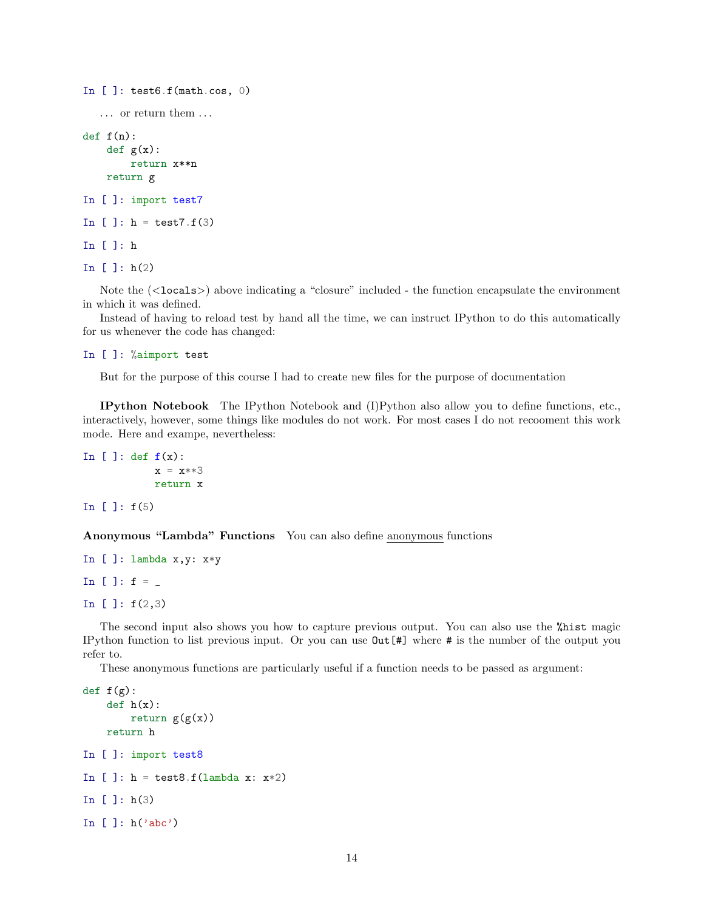```
In [ ]: test6.f(math.cos, 0)
   \dots\, or return them \dots\,def f(n):def g(x):
        return x**n
    return g
In [ ]: import test7
In [ ]: h = \text{test7.f}(3)In [ ]: h
In [ ]: h(2)
```
Note the  $(\langle \text{locals} \rangle)$  above indicating a "closure" included - the function encapsulate the environment in which it was defined.

Instead of having to reload test by hand all the time, we can instruct IPython to do this automatically for us whenever the code has changed:

```
In [ ]: %aimport test
```
But for the purpose of this course I had to create new files for the purpose of documentation

IPython Notebook The IPython Notebook and (I)Python also allow you to define functions, etc., interactively, however, some things like modules do not work. For most cases I do not recooment this work mode. Here and exampe, nevertheless:

```
In []: def f(x):
           x = x**3return x
```
In  $[ ]: f(5)$ 

Anonymous "Lambda" Functions You can also define anonymous functions

```
In [ ]: lambda x,y: x*y
In [ ]: f =In [ ]: f(2,3)
```
The second input also shows you how to capture previous output. You can also use the %hist magic IPython function to list previous input. Or you can use Out[#] where # is the number of the output you refer to.

These anonymous functions are particularly useful if a function needs to be passed as argument:

```
def f(g):
    def h(x):return g(g(x))return h
In [ ]: import test8
In []: h = \text{test8.f}(\text{lambda } x: x \times 2)In [ ]: h(3)In [ ]: h('abc')
```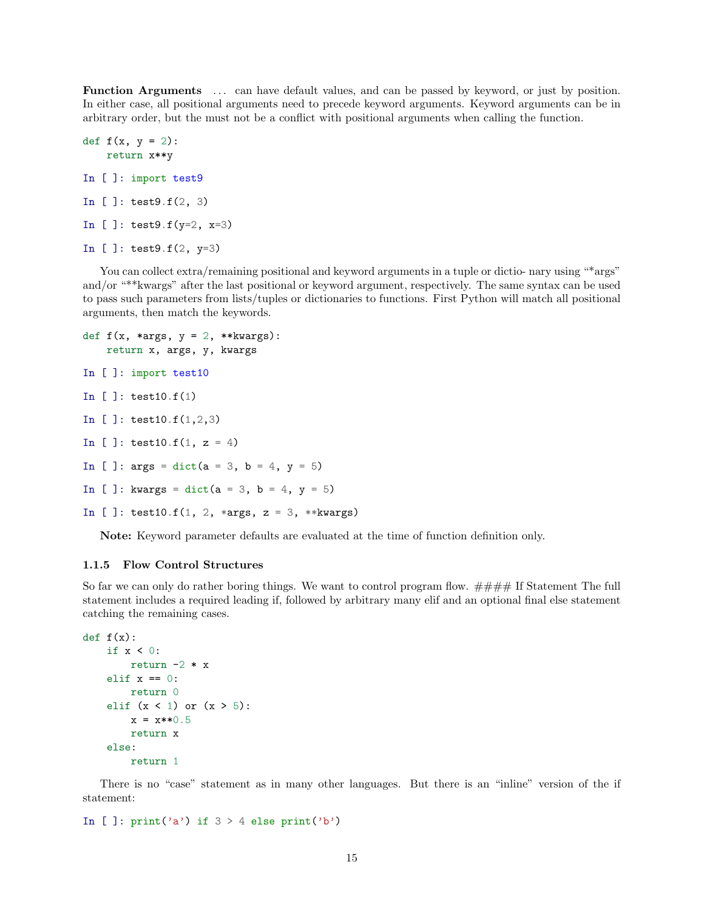Function Arguments . . . can have default values, and can be passed by keyword, or just by position. In either case, all positional arguments need to precede keyword arguments. Keyword arguments can be in arbitrary order, but the must not be a conflict with positional arguments when calling the function.

```
def f(x, y = 2):
    return x**y
In [ ]: import test9
In [ ]: test9.f(2, 3)
In [ ]: test9.f(y=2, x=3)
In [ ]: test9.f(2, y=3)
```
You can collect extra/remaining positional and keyword arguments in a tuple or dictio- nary using "\*args" and/or "\*\*kwargs" after the last positional or keyword argument, respectively. The same syntax can be used to pass such parameters from lists/tuples or dictionaries to functions. First Python will match all positional arguments, then match the keywords.

```
def f(x, *args, y = 2, **kwargs):
   return x, args, y, kwargs
In [ ]: import test10
In [ ]: test10.f(1)
In [ ]: test10.f(1,2,3)
In [ ]: test10.f(1, z = 4)
In [ ]: args = dict(a = 3, b = 4, y = 5)In [ ]: kwargs = dict(a = 3, b = 4, y = 5)
In [ ]: test10.f(1, 2, *args, z = 3, **kwargs)
```
Note: Keyword parameter defaults are evaluated at the time of function definition only.

## 1.1.5 Flow Control Structures

So far we can only do rather boring things. We want to control program flow.  $\# \# \# H$  If Statement The full statement includes a required leading if, followed by arbitrary many elif and an optional final else statement catching the remaining cases.

```
def f(x):if x < 0:
       return -2 * x
    elif x == 0:
       return 0
    elif (x < 1) or (x > 5):
       x = x**0.5return x
   else:
        return 1
```
There is no "case" statement as in many other languages. But there is an "inline" version of the if statement:

```
In [ ]: print('a') if 3 > 4 else print('b')
```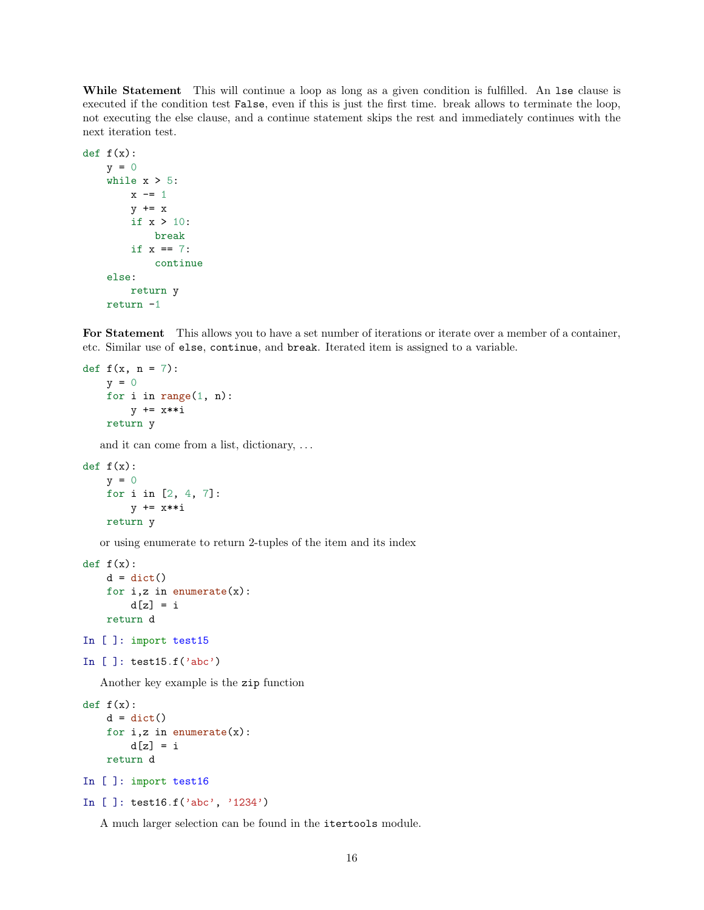While Statement This will continue a loop as long as a given condition is fulfilled. An 1se clause is executed if the condition test False, even if this is just the first time. break allows to terminate the loop, not executing the else clause, and a continue statement skips the rest and immediately continues with the next iteration test.

```
def f(x):y = 0while x > 5:
         x \leftarrow 1
         y \leftarrow xif x > 10:
              break
         if x == 7:
              continue
    else:
         return y
    return -1
```
For Statement This allows you to have a set number of iterations or iterate over a member of a container, etc. Similar use of else, continue, and break. Iterated item is assigned to a variable.

```
def f(x, n = 7):
   y = 0for i in range(1, n):
       y += x**i
   return y
```
and it can come from a list, dictionary, . . .

```
def f(x):y = 0for i in [2, 4, 7]:
       y += x**i
   return y
```
or using enumerate to return 2-tuples of the item and its index

```
def f(x):d = \text{dict}()for i, z in enumerate(x):
        d[z] = ireturn d
```

```
In [ ]: import test15
```

```
In [ ]: test15.f('abc')
```
Another key example is the zip function

```
def f(x):d = dict()for i,z in enumerate(x):
       d[z] = ireturn d
In [ ]: import test16
```

```
In [ ]: test16.f('abc', '1234')
```
A much larger selection can be found in the itertools module.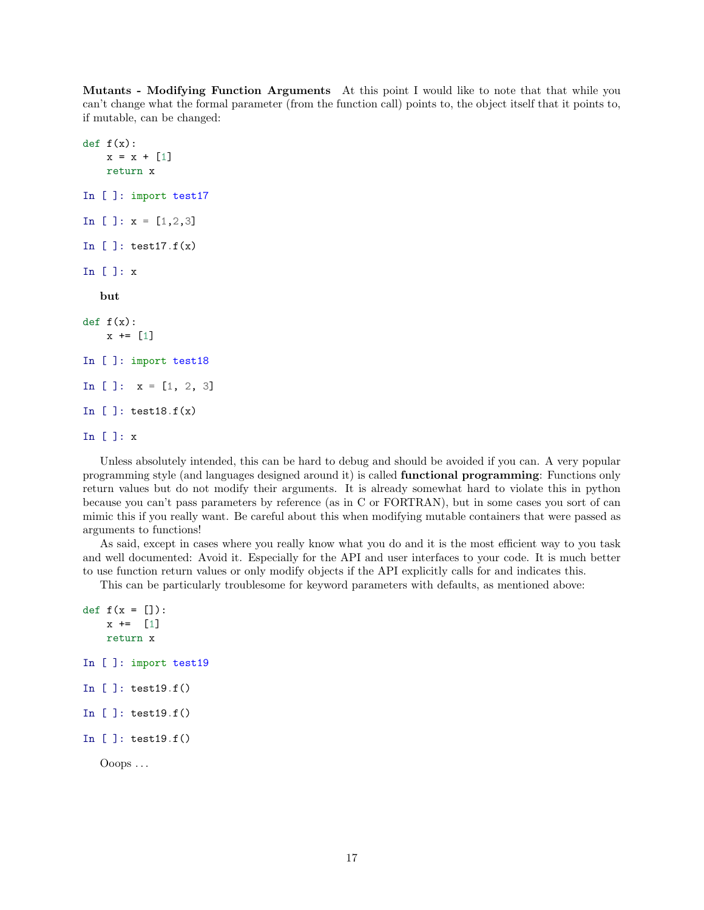Mutants - Modifying Function Arguments At this point I would like to note that that while you can't change what the formal parameter (from the function call) points to, the object itself that it points to, if mutable, can be changed:

```
def f(x):x = x + [1]return x
In [ ]: import test17
In [ ]: x = [1, 2, 3]In []: test17.f(x)
In [ ]: x
   but
def f(x):x \leftarrow \lceil 1 \rceilIn [ ]: import test18
In [ ]: x = [1, 2, 3]In [ ]: test18.f(x)
In [ ]: x
```
Unless absolutely intended, this can be hard to debug and should be avoided if you can. A very popular programming style (and languages designed around it) is called functional programming: Functions only return values but do not modify their arguments. It is already somewhat hard to violate this in python because you can't pass parameters by reference (as in C or FORTRAN), but in some cases you sort of can mimic this if you really want. Be careful about this when modifying mutable containers that were passed as arguments to functions!

As said, except in cases where you really know what you do and it is the most efficient way to you task and well documented: Avoid it. Especially for the API and user interfaces to your code. It is much better to use function return values or only modify objects if the API explicitly calls for and indicates this.

This can be particularly troublesome for keyword parameters with defaults, as mentioned above:

```
def f(x = []):x \leftarrow 1return x
In [ ]: import test19
In [ ]: test19.f()
In [ ]: test19.f()
In [ ]: test19.f()
```

```
Ooops . . .
```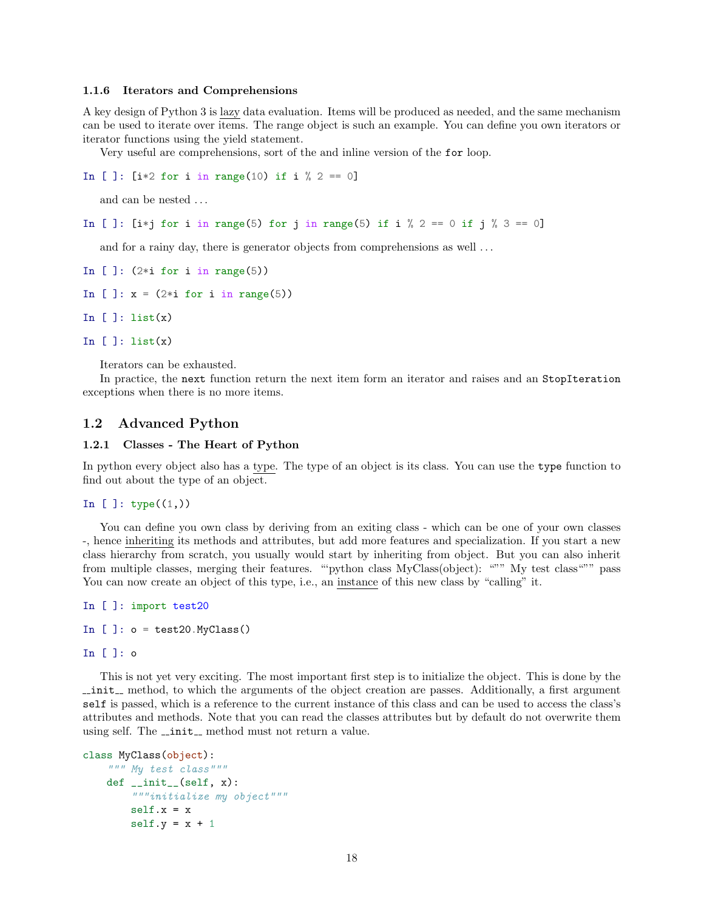#### 1.1.6 Iterators and Comprehensions

A key design of Python 3 is lazy data evaluation. Items will be produced as needed, and the same mechanism can be used to iterate over items. The range object is such an example. You can define you own iterators or iterator functions using the yield statement.

Very useful are comprehensions, sort of the and inline version of the for loop.

```
In [ ]: [i*2 for i in range(10) if i % 2 == 0]
```
and can be nested . . .

In [ ]: [i\*j for i in range(5) for j in range(5) if i  $\%$  2 == 0 if j  $\%$  3 == 0]

and for a rainy day, there is generator objects from comprehensions as well ...

```
In [ ]: (2 * i for i in range(5))
```

```
In [ ]: x = (2 * i for i in range(5))
```
In  $[]$ : list $(x)$ 

```
In []: list(x)
```
Iterators can be exhausted.

In practice, the next function return the next item form an iterator and raises and an StopIteration exceptions when there is no more items.

## 1.2 Advanced Python

#### 1.2.1 Classes - The Heart of Python

In python every object also has a type. The type of an object is its class. You can use the type function to find out about the type of an object.

#### In [ ]:  $type((1,))$

You can define you own class by deriving from an exiting class - which can be one of your own classes -, hence inheriting its methods and attributes, but add more features and specialization. If you start a new class hierarchy from scratch, you usually would start by inheriting from object. But you can also inherit from multiple classes, merging their features. ""python class MyClass(object): """ My test class""" pass You can now create an object of this type, i.e., an instance of this new class by "calling" it.

```
In [ ]: import test20
In [ ]: o = \text{test20.MyClass}()
```

```
In [ ]: o
```
This is not yet very exciting. The most important first step is to initialize the object. This is done by the  $\text{unit}$ , method, to which the arguments of the object creation are passes. Additionally, a first argument self is passed, which is a reference to the current instance of this class and can be used to access the class's attributes and methods. Note that you can read the classes attributes but by default do not overwrite them using self. The  $\_\mathit{init}\_\mathit{method}$  must not return a value.

```
class MyClass(object):
    """ My test class"""
   def __init__(self, x):
        """initialize my object"""
        self.x = xself.y = x + 1
```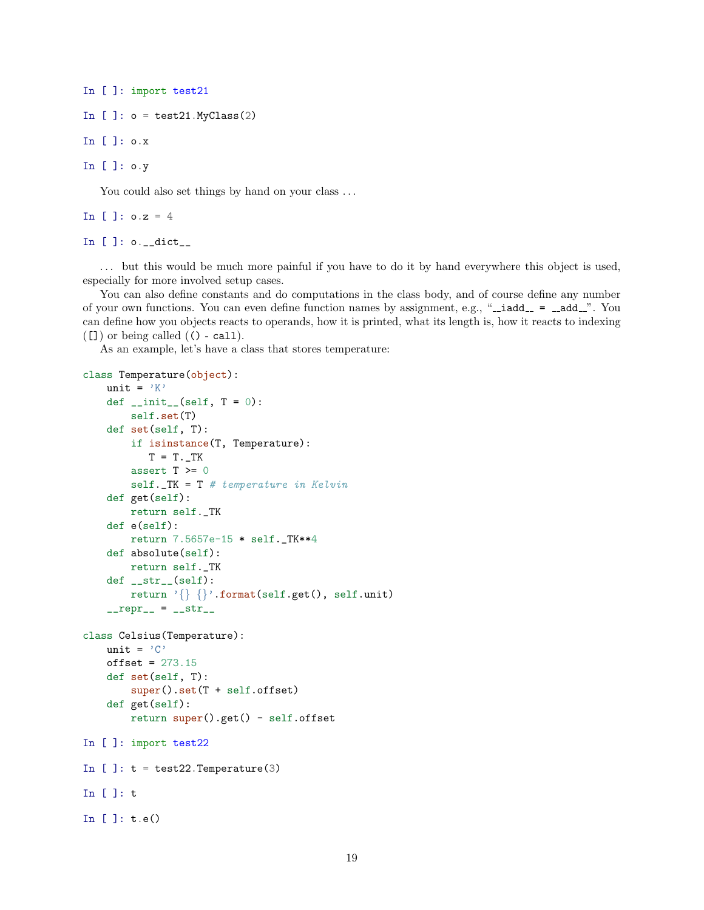```
In [ ]: import test21
In [ ]: o = \text{test21.MyClass}(2)
```
In [ ]: o.x

In [ ]: o.y

You could also set things by hand on your class ...

In [ ]:  $0.2 = 4$ 

In  $[]$ :  $o.__dict__$ 

. . . but this would be much more painful if you have to do it by hand everywhere this object is used, especially for more involved setup cases.

You can also define constants and do computations in the class body, and of course define any number of your own functions. You can even define function names by assignment, e.g., " $\_i$ add $\_ = \_$ add $\_$ ". You can define how you objects reacts to operands, how it is printed, what its length is, how it reacts to indexing  $([1] )$  or being called  $( () - call).$ 

As an example, let's have a class that stores temperature:

```
class Temperature(object):
    unit = 'K'def _{-}init_{-}(self, T = 0):
        self.set(T)
    def set(self, T):
        if isinstance(T, Temperature):
           T = T \cdot Tassert T >= 0
        self.-TK = T # temperature in Kelvindef get(self):
        return self._TK
    def e(self):
        return 7.5657e-15 * self._TK**4
    def absolute(self):
        return self._TK
    def __str__(self):
        return '{} {}'.format(self.get(), self.unit)
    _{-}repr_{-} = _{-}str_{-}class Celsius(Temperature):
    unit = ^{\prime} C'
    offset = 273.15def set(self, T):
        super().set(T + self.offset)
    def get(self):
        return super().get() - self.offset
In [ ]: import test22
In []: t = test22. Temperature(3)
In [ ]: t
In [ ]: t.e()
```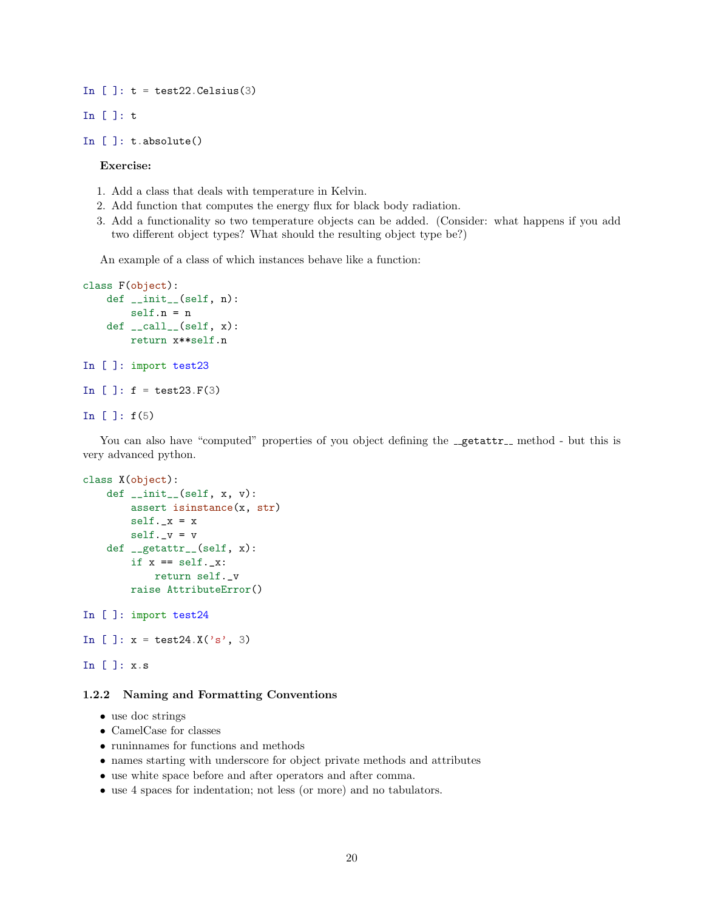In  $[]: t = test22.Celsius(3)$ 

```
In [ ]: t
```

```
In [ ]: t.absolute()
```
Exercise:

- 1. Add a class that deals with temperature in Kelvin.
- 2. Add function that computes the energy flux for black body radiation.
- 3. Add a functionality so two temperature objects can be added. (Consider: what happens if you add two different object types? What should the resulting object type be?)

An example of a class of which instances behave like a function:

```
class F(object):
    def __init__(self, n):
        self.n = n
    def __call__(self, x):
        return x**self.n
In [ ]: import test23
In [ ]: f = \text{test23.F(3)}In [ ]: f(5)
```
You can also have "computed" properties of you object defining the  $\mathcal{L}_{\text{getter}}$  method - but this is very advanced python.

```
class X(object):
    def _{-}init_{-}(self, x, v):
        assert isinstance(x, str)
        self._x = xself.-v = vdef __getattr__(self, x):
        if x == self._-x:
            return self._v
        raise AttributeError()
In [ ]: import test24
In [ ]: x = \text{test24.}X('s', 3)
```
## In [ ]: x.s

## 1.2.2 Naming and Formatting Conventions

- use doc strings
- CamelCase for classes
- runinnames for functions and methods
- names starting with underscore for object private methods and attributes
- use white space before and after operators and after comma.
- use 4 spaces for indentation; not less (or more) and no tabulators.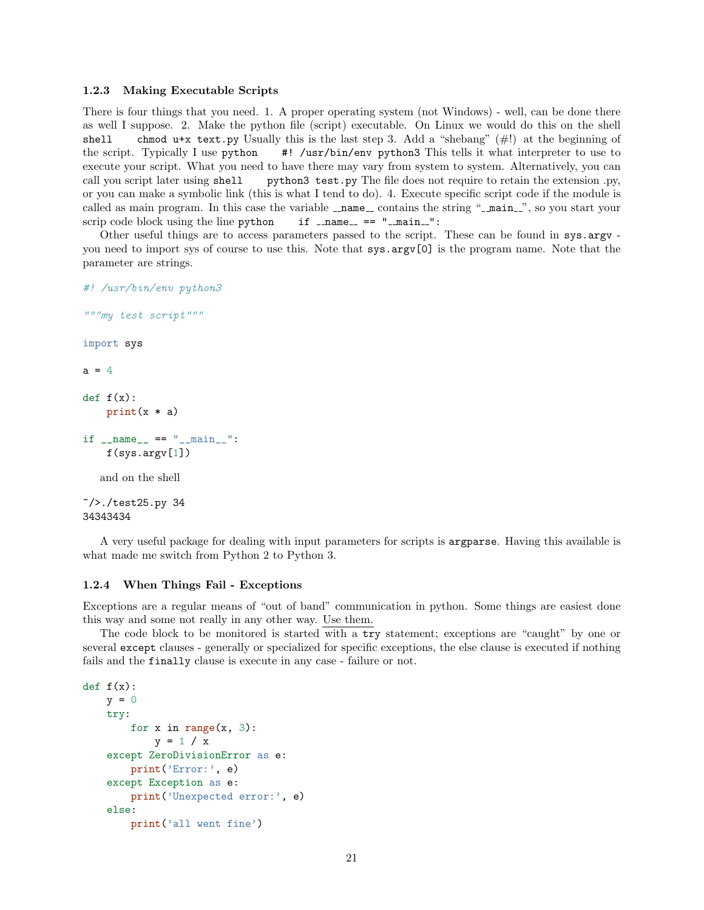#### 1.2.3 Making Executable Scripts

There is four things that you need. 1. A proper operating system (not Windows) - well, can be done there as well I suppose. 2. Make the python file (script) executable. On Linux we would do this on the shell shell chmod u+x text.py Usually this is the last step 3. Add a "shebang"  $(\#!)$  at the beginning of the script. Typically I use  $python$  #! /usr/bin/env python3 This tells it what interpreter to use to execute your script. What you need to have there may vary from system to system. Alternatively, you can call you script later using shell python3 test.py The file does not require to retain the extension .py, or you can make a symbolic link (this is what I tend to do). 4. Execute specific script code if the module is called as main program. In this case the variable  $\Box$ name  $\Box$  contains the string " $\Box$ main  $\Box$ ", so you start your scrip code block using the line python  $if$   $_name = "$   $"$   $main = "$ :

Other useful things are to access parameters passed to the script. These can be found in sys.argy you need to import sys of course to use this. Note that sys.argv[0] is the program name. Note that the parameter are strings.

```
#! /usr/bin/env python3
```

```
"""my test script"""
import sys
a = 4def f(x):
    print(x * a)if _{\_name\_} == "_{\_main\_}":
    f(sys.argv[1])
   and on the shell
\gamma //test25.py 34
```

```
34343434
```
A very useful package for dealing with input parameters for scripts is argparse. Having this available is what made me switch from Python 2 to Python 3.

#### 1.2.4 When Things Fail - Exceptions

Exceptions are a regular means of "out of band" communication in python. Some things are easiest done this way and some not really in any other way. Use them.

The code block to be monitored is started with a try statement; exceptions are "caught" by one or several except clauses - generally or specialized for specific exceptions, the else clause is executed if nothing fails and the finally clause is execute in any case - failure or not.

```
def f(x):y = 0try:
        for x in range(x, 3):
           y = 1 / xexcept ZeroDivisionError as e:
       print('Error:', e)
    except Exception as e:
        print('Unexpected error:', e)
    else:
        print('all went fine')
```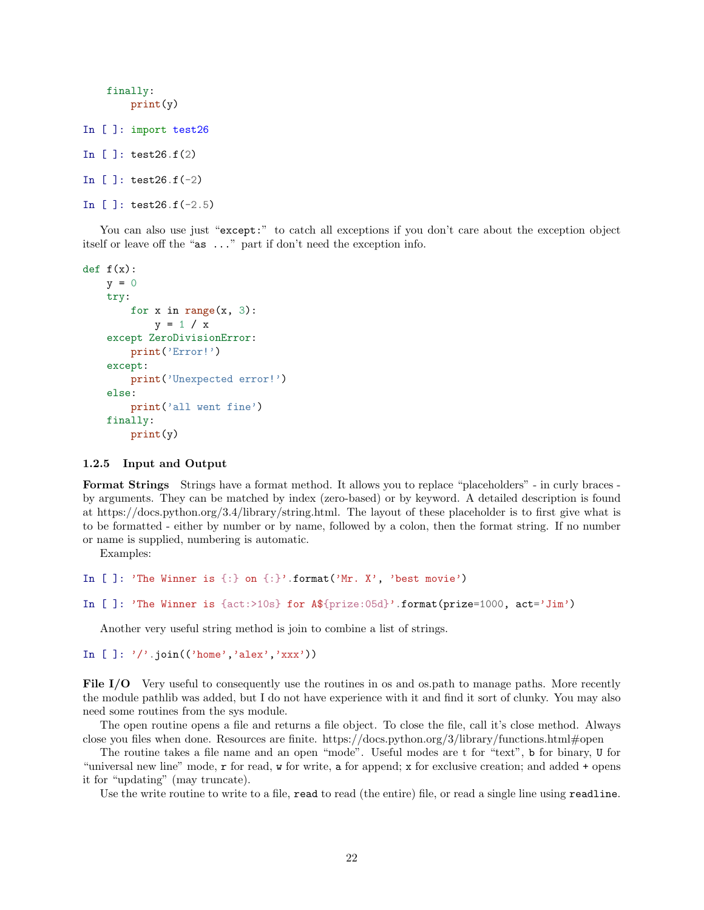```
finally:
        print(y)
In [ ]: import test26
In [ ]: test26.f(2)
In [ ]: test26.f(-2)
In [ ]: test26.f(-2.5)
```
You can also use just "except:" to catch all exceptions if you don't care about the exception object itself or leave off the "as ..." part if don't need the exception info.

```
def f(x):y = 0try:
        for x in range(x, 3):
           y = 1 / xexcept ZeroDivisionError:
        print('Error!')
    except:
        print('Unexpected error!')
   else:
        print('all went fine')
   finally:
       print(y)
```
#### 1.2.5 Input and Output

Format Strings Strings have a format method. It allows you to replace "placeholders" - in curly braces by arguments. They can be matched by index (zero-based) or by keyword. A detailed description is found at https://docs.python.org/3.4/library/string.html. The layout of these placeholder is to first give what is to be formatted - either by number or by name, followed by a colon, then the format string. If no number or name is supplied, numbering is automatic.

Examples:

```
In []: 'The Winner is \{\cdot\} on \{\cdot\}'.format('Mr. X', 'best movie')
In [ ]: 'The Winner is {act:>10s} for A${prize:05d}'.format(prize=1000, act='Jim')
```
Another very useful string method is join to combine a list of strings.

```
In [ ]: '','.join(('home','alex','xxx'))
```
File I/O Very useful to consequently use the routines in os and os.path to manage paths. More recently the module pathlib was added, but I do not have experience with it and find it sort of clunky. You may also need some routines from the sys module.

The open routine opens a file and returns a file object. To close the file, call it's close method. Always close you files when done. Resources are finite. https://docs.python.org/3/library/functions.html#open

The routine takes a file name and an open "mode". Useful modes are t for "text", b for binary, U for "universal new line" mode, r for read, w for write, a for append; x for exclusive creation; and added + opens it for "updating" (may truncate).

Use the write routine to write to a file, read to read (the entire) file, or read a single line using readline.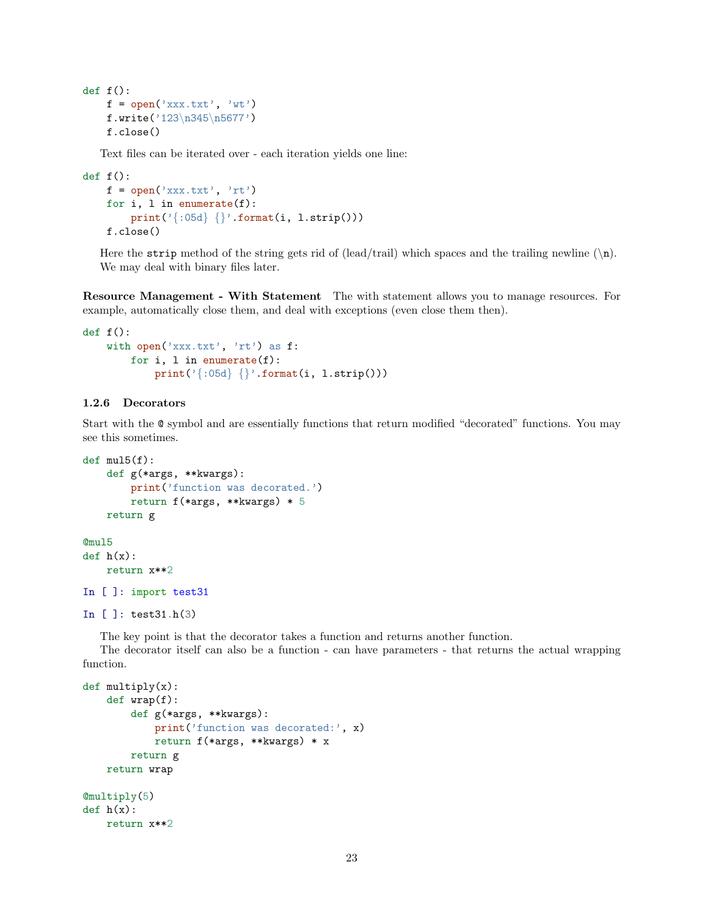```
def f():
   f = open('xxx.txt', 'wt')f.write('123\n345\n5677')
   f.close()
```
Text files can be iterated over - each iteration yields one line:

```
def f():
   f = open('xxx.txt', 'rt')for i, l in enumerate(f):
        print('{:05d} {}'.format(i, l.strip()))
   f.close()
```
Here the strip method of the string gets rid of (lead/trail) which spaces and the trailing newline  $(\n\cdot)$ . We may deal with binary files later.

Resource Management - With Statement The with statement allows you to manage resources. For example, automatically close them, and deal with exceptions (even close them then).

```
def f():
    with open('xxx.txt', 'rt') as f:
        for i, l in enumerate(f):
            print('{};05d) {} \}'.format(i, l.strip()))
```
## 1.2.6 Decorators

Start with the @ symbol and are essentially functions that return modified "decorated" functions. You may see this sometimes.

```
def \text{ mul5}(f):def g(*args, **kwargs):
        print('function was decorated.')
        return f(*args, **kwargs) * 5
    return g
@mul5
def h(x):return x**2
In [ ]: import test31
In [ ]: test31.h(3)
```
The key point is that the decorator takes a function and returns another function.

The decorator itself can also be a function - can have parameters - that returns the actual wrapping function.

```
def multiply(x):
   def wrap(f):
        def g(*args, **kwargs):
            print('function was decorated:', x)
            return f(*args, **kwargs) * x
        return g
   return wrap
@multiply(5)
def h(x):return x**2
```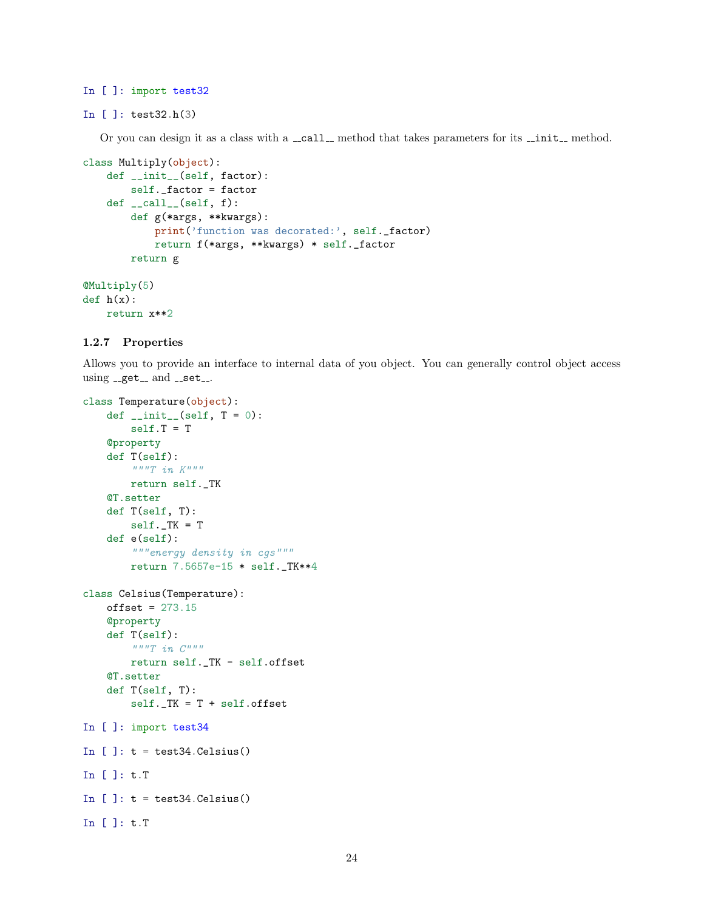## In [ ]: import test32

```
In [ ]: test32.h(3)
```
Or you can design it as a class with a \_call\_ method that takes parameters for its \_init\_ method.

```
class Multiply(object):
   def __init__(self, factor):
        self._factor = factor
   def \ _-call_-(self, f):def g(*args, **kwargs):
            print('function was decorated:', self._factor)
            return f(*args, **kwargs) * self._factor
       return g
@Multiply(5)
def h(x):
```
## 1.2.7 Properties

return x\*\*2

Allows you to provide an interface to internal data of you object. You can generally control object access using  $- get -$  and  $- set -$ .

```
class Temperature(object):
    def _{-}init_{-}(self, T = 0):
        self.T = T
    @property
    def T(self):
         \frac{m}{T} in K^{m+n}return self._TK
    @T.setter
    def T(self, T):
        self.-TK = Tdef e(self):
         """energy density in cgs"""
        return 7.5657e-15 * self._TK**4
class Celsius(Temperature):
    offset = 273.15@property
    def T(self):
         \begin{array}{cc} \cdots & \cdots & \cdots \end{array}return self._TK - self.offset
    @T.setter
    def T(self, T):
         self._TK = T + self.offset
In [ ]: import test34
In [ ]: t = \text{test34.Celsius}()In [ ]: t.T
In [ ]: t = \text{test34.Celsius}()In [ ]: t.T
```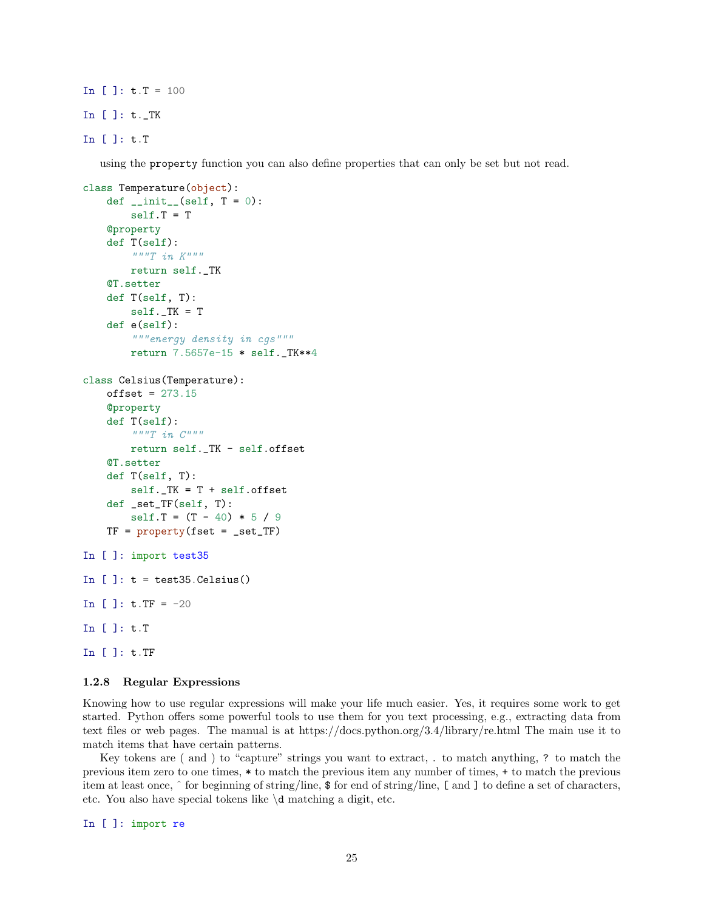In  $[ ]: t.T = 100$ In [ ]: t.\_TK

In [ ]: t.T

using the property function you can also define properties that can only be set but not read.

```
class Temperature(object):
    def \_init\_(self, T = 0):
        self.T = T
    @property
    def T(self):
        \frac{m}{T} in K^{m+n}return self._TK
    @T.setter
    def T(self, T):
        self.-TK = Tdef e(self):
        """energy density in cgs"""
        return 7.5657e-15 * self._TK**4
class Celsius(Temperature):
    offset = 273.15@property
    def T(self):
        " " "T i n C" " "return self._TK - self.offset
    @T.setter
    def T(self, T):
        self._TK = T + self.offset
    def _set_TF(self, T):
        self.T = (T - 40) * 5 / 9TF = property(fset = _set_TF)In [ ]: import test35
In []: t = \text{test35.Celsius}()In [ ]: t.TF = -20In [ ]: t.T
In [ ]: t.TF
```
#### 1.2.8 Regular Expressions

Knowing how to use regular expressions will make your life much easier. Yes, it requires some work to get started. Python offers some powerful tools to use them for you text processing, e.g., extracting data from text files or web pages. The manual is at https://docs.python.org/3.4/library/re.html The main use it to match items that have certain patterns.

Key tokens are ( and ) to "capture" strings you want to extract, . to match anything, ? to match the previous item zero to one times, \* to match the previous item any number of times, + to match the previous item at least once, ˆ for beginning of string/line, \$ for end of string/line, [ and ] to define a set of characters, etc. You also have special tokens like \d matching a digit, etc.

In [ ]: import re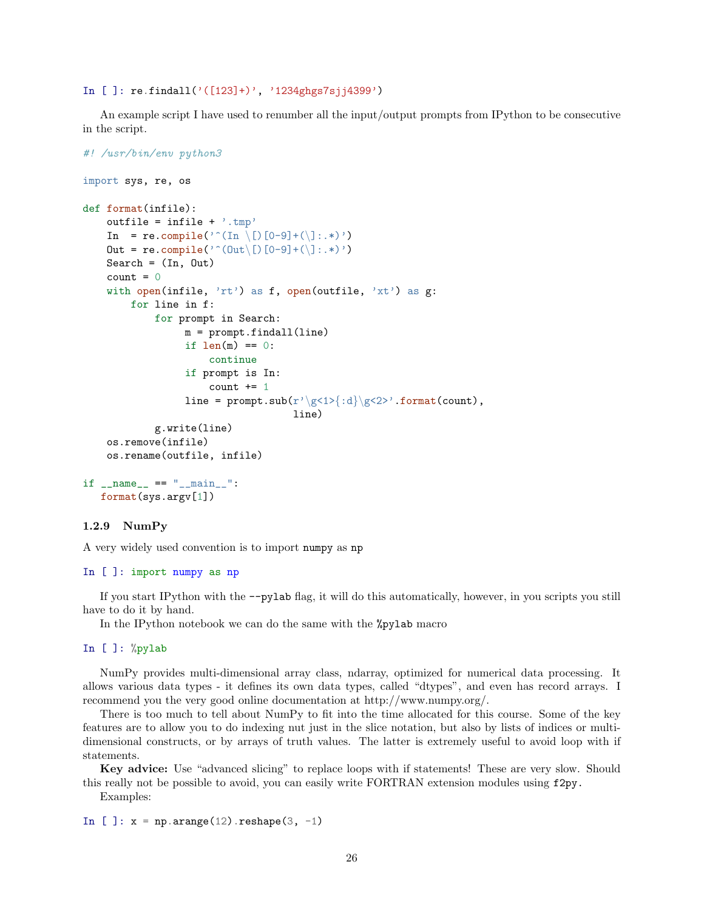In  $[ ]:$  re.findall $( '([123]+) ', '1234ghgs7sji4399')$ 

An example script I have used to renumber all the input/output prompts from IPython to be consecutive in the script.

```
#! /usr/bin/env python3
import sys, re, os
def format(infile):
    outfile = \text{infile} + \text{'time'}In = re.compile('^(In \[)[0-9]+(\]:.*)')
    Out = re.compile('^(Out\[)[0-9]+(\]:.*)')
    Search = (In, Out)count = 0with open(infile, 'rt') as f, open(outfile, 'xt') as g:
        for line in f:
            for prompt in Search:
                 m = prompt.findall(line)
                 if len(m) == 0:
                      continue
                 if prompt is In:
                      count += 1line = prompt.sub(r'\g<1>{:d}\g<2>'.format(count),
                                    line)
            g.write(line)
    os.remove(infile)
    os.rename(outfile, infile)
if _{\_name\_} == "_{\_main\_}":
   format(sys.argv[1])
```
## 1.2.9 NumPy

A very widely used convention is to import numpy as np

#### In [ ]: import numpy as np

If you start IPython with the --pylab flag, it will do this automatically, however, in you scripts you still have to do it by hand.

In the IPython notebook we can do the same with the %pylab macro

```
In [ ]: %pylab
```
NumPy provides multi-dimensional array class, ndarray, optimized for numerical data processing. It allows various data types - it defines its own data types, called "dtypes", and even has record arrays. I recommend you the very good online documentation at http://www.numpy.org/.

There is too much to tell about NumPy to fit into the time allocated for this course. Some of the key features are to allow you to do indexing nut just in the slice notation, but also by lists of indices or multidimensional constructs, or by arrays of truth values. The latter is extremely useful to avoid loop with if statements.

Key advice: Use "advanced slicing" to replace loops with if statements! These are very slow. Should this really not be possible to avoid, you can easily write FORTRAN extension modules using f2py.

Examples:

```
In [ ]: x = np.arange(12) .reshape(3, -1)
```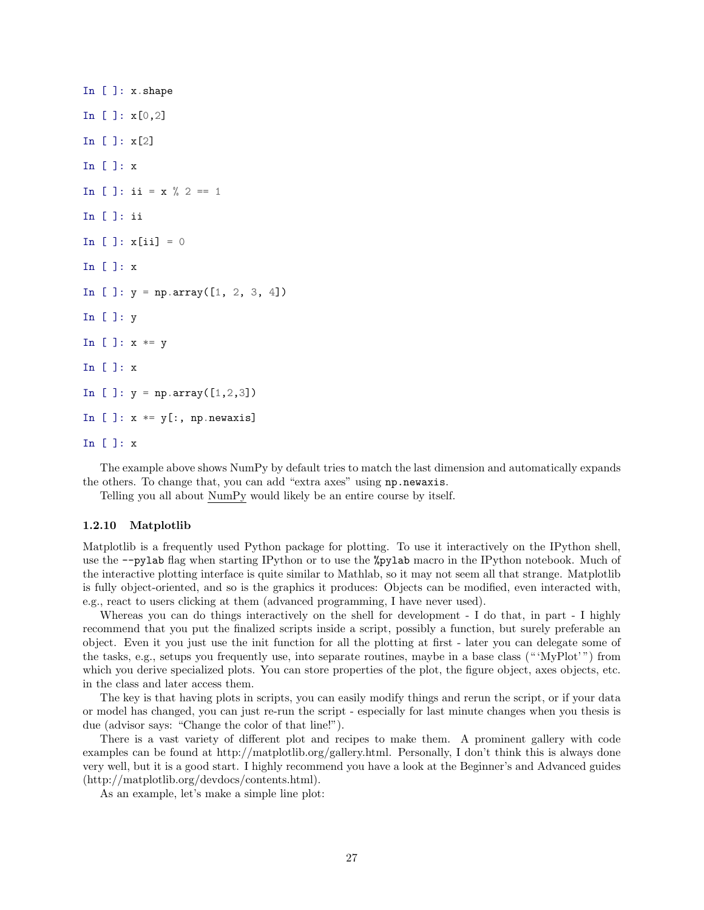```
In [ ]: x.shape
In [ ]: x[0,2]
In [ ]: x[2]
In [ ]: x
In [ ]: ii = x % 2 == 1
In [ ]: ii
In [ ]: x[i] = 0In [ ]: x
In [ ]: y = np.array([1, 2, 3, 4])In [ ]: y
In [ ]: x * = yIn [ ]: x
In [ ]: y = np.array([1, 2, 3])In [ ]: x *= y[:, np.newaxis]In [ ]: x
```
The example above shows NumPy by default tries to match the last dimension and automatically expands the others. To change that, you can add "extra axes" using np.newaxis.

Telling you all about NumPy would likely be an entire course by itself.

#### 1.2.10 Matplotlib

Matplotlib is a frequently used Python package for plotting. To use it interactively on the IPython shell, use the --pylab flag when starting IPython or to use the %pylab macro in the IPython notebook. Much of the interactive plotting interface is quite similar to Mathlab, so it may not seem all that strange. Matplotlib is fully object-oriented, and so is the graphics it produces: Objects can be modified, even interacted with, e.g., react to users clicking at them (advanced programming, I have never used).

Whereas you can do things interactively on the shell for development - I do that, in part - I highly recommend that you put the finalized scripts inside a script, possibly a function, but surely preferable an object. Even it you just use the init function for all the plotting at first - later you can delegate some of the tasks, e.g., setups you frequently use, into separate routines, maybe in a base class (" 'MyPlot' ") from which you derive specialized plots. You can store properties of the plot, the figure object, axes objects, etc. in the class and later access them.

The key is that having plots in scripts, you can easily modify things and rerun the script, or if your data or model has changed, you can just re-run the script - especially for last minute changes when you thesis is due (advisor says: "Change the color of that line!").

There is a vast variety of different plot and recipes to make them. A prominent gallery with code examples can be found at http://matplotlib.org/gallery.html. Personally, I don't think this is always done very well, but it is a good start. I highly recommend you have a look at the Beginner's and Advanced guides (http://matplotlib.org/devdocs/contents.html).

As an example, let's make a simple line plot: